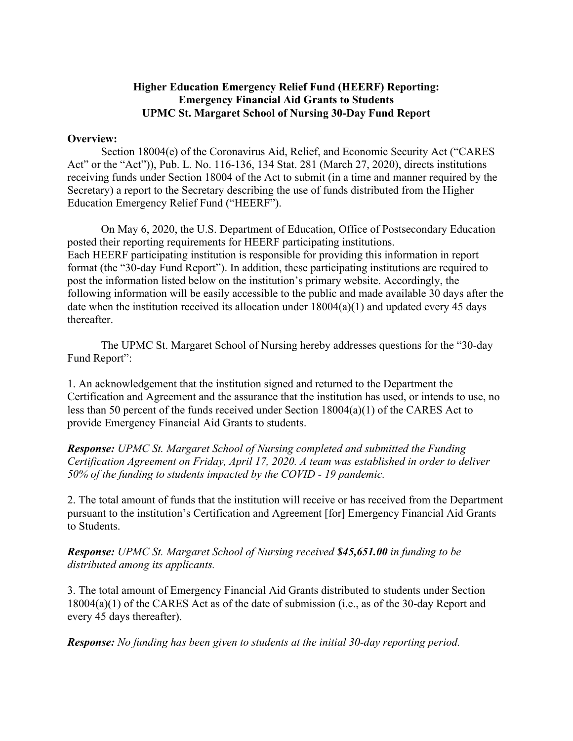## **Higher Education Emergency Relief Fund (HEERF) Reporting: Emergency Financial Aid Grants to Students UPMC St. Margaret School of Nursing 30-Day Fund Report**

## **Overview:**

Section 18004(e) of the Coronavirus Aid, Relief, and Economic Security Act ("CARES Act" or the "Act")), Pub. L. No. 116-136, 134 Stat. 281 (March 27, 2020), directs institutions receiving funds under Section 18004 of the Act to submit (in a time and manner required by the Secretary) a report to the Secretary describing the use of funds distributed from the Higher Education Emergency Relief Fund ("HEERF").

On May 6, 2020, the U.S. Department of Education, Office of Postsecondary Education posted their reporting requirements for HEERF participating institutions. Each HEERF participating institution is responsible for providing this information in report format (the "30-day Fund Report"). In addition, these participating institutions are required to post the information listed below on the institution's primary website. Accordingly, the following information will be easily accessible to the public and made available 30 days after the date when the institution received its allocation under  $18004(a)(1)$  and updated every 45 days thereafter.

The UPMC St. Margaret School of Nursing hereby addresses questions for the "30-day Fund Report":

1. An acknowledgement that the institution signed and returned to the Department the Certification and Agreement and the assurance that the institution has used, or intends to use, no less than 50 percent of the funds received under Section 18004(a)(1) of the CARES Act to provide Emergency Financial Aid Grants to students.

*Response: UPMC St. Margaret School of Nursing completed and submitted the Funding Certification Agreement on Friday, April 17, 2020. A team was established in order to deliver 50% of the funding to students impacted by the COVID - 19 pandemic.* 

2. The total amount of funds that the institution will receive or has received from the Department pursuant to the institution's Certification and Agreement [for] Emergency Financial Aid Grants to Students.

*Response: UPMC St. Margaret School of Nursing received \$45,651.00 in funding to be distributed among its applicants.* 

3. The total amount of Emergency Financial Aid Grants distributed to students under Section 18004(a)(1) of the CARES Act as of the date of submission (i.e., as of the 30-day Report and every 45 days thereafter).

*Response: No funding has been given to students at the initial 30-day reporting period.*